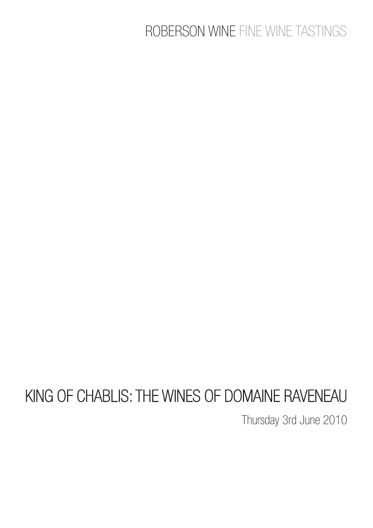## ROBERSON WINE FINE WINE TASTINGS

# KING OF CHABLIS: THE WINES OF DOMAINE RAVENEAU

Thursday 3rd June 2010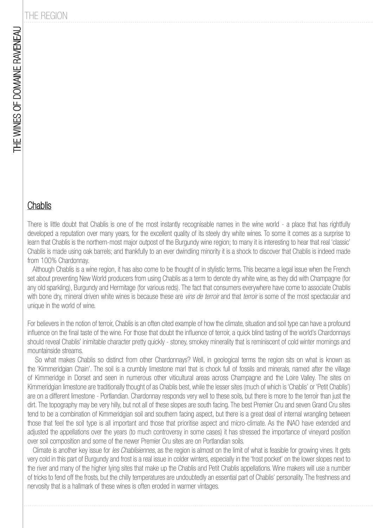### THE REGION

#### **Chablis**

There is little doubt that Chablis is one of the most instantly recognisable names in the wine world - a place that has rightfully developed a reputation over many years, for the excellent quality of its steely dry white wines. To some it comes as a surprise to learn that Chablis is the northern-most major outpost of the Burgundy wine region; to many it is interesting to hear that real 'classic' Chablis is made using oak barrels; and thankfully to an ever dwindling minority it is a shock to discover that Chablis is indeed made from 100% Chardonnay.

 Although Chablis is a wine region, it has also come to be thought of in stylistic terms. This became a legal issue when the French set about preventing New World producers from using Chablis as a term to denote dry white wine, as they did with Champagne (for any old sparkling), Burgundy and Hermitage (for various reds). The fact that consumers everywhere have come to associate Chablis with bone dry, mineral driven white wines is because these are vins de terroir and that terroir is some of the most spectacular and unique in the world of wine.

For believers in the notion of terroir, Chablis is an often cited example of how the climate, situation and soil type can have a profound influence on the final taste of the wine. For those that doubt the influence of terroir, a quick blind tasting of the world's Chardonnays should reveal Chablis' inimitable character pretty quickly - stoney, smokey minerality that is reminiscent of cold winter mornings and mountainside streams.

 So what makes Chablis so distinct from other Chardonnays? Well, in geological terms the region sits on what is known as the 'Kimmeridgian Chain'. The soil is a crumbly limestone marl that is chock full of fossils and minerals, named after the village of Kimmeridge in Dorset and seen in numerous other viticultural areas across Champagne and the Loire Valley. The sites on Kimmeridgian limestone are traditionally thought of as Chablis best, while the lesser sites (much of which is 'Chablis' or 'Petit Chablis') are on a different limestone - Portlandian. Chardonnay responds very well to these soils, but there is more to the terroir than just the dirt. The topography may be very hilly, but not all of these slopes are south facing. The best Premier Cru and seven Grand Cru sites tend to be a combination of Kimmeridgian soil and southern facing aspect, but there is a great deal of internal wrangling between those that feel the soil type is all important and those that prioritise aspect and micro-climate. As the INAO have extended and adjusted the appellations over the years (to much controversy in some cases) it has stressed the importance of vineyard position over soil composition and some of the newer Premier Cru sites are on Portlandian soils.

Climate is another key issue for *les Chablisiennes*, as the region is almost on the limit of what is feasible for growing vines. It gets very cold in this part of Burgundy and frost is a real issue in colder winters, especially in the 'frost pocket' on the lower slopes next to the river and many of the higher lying sites that make up the Chablis and Petit Chablis appellations. Wine makers will use a number of tricks to fend off the frosts, but the chilly temperatures are undoubtedly an essential part of Chablis' personality. The freshness and nervosity that is a hallmark of these wines is often eroded in warmer vintages.